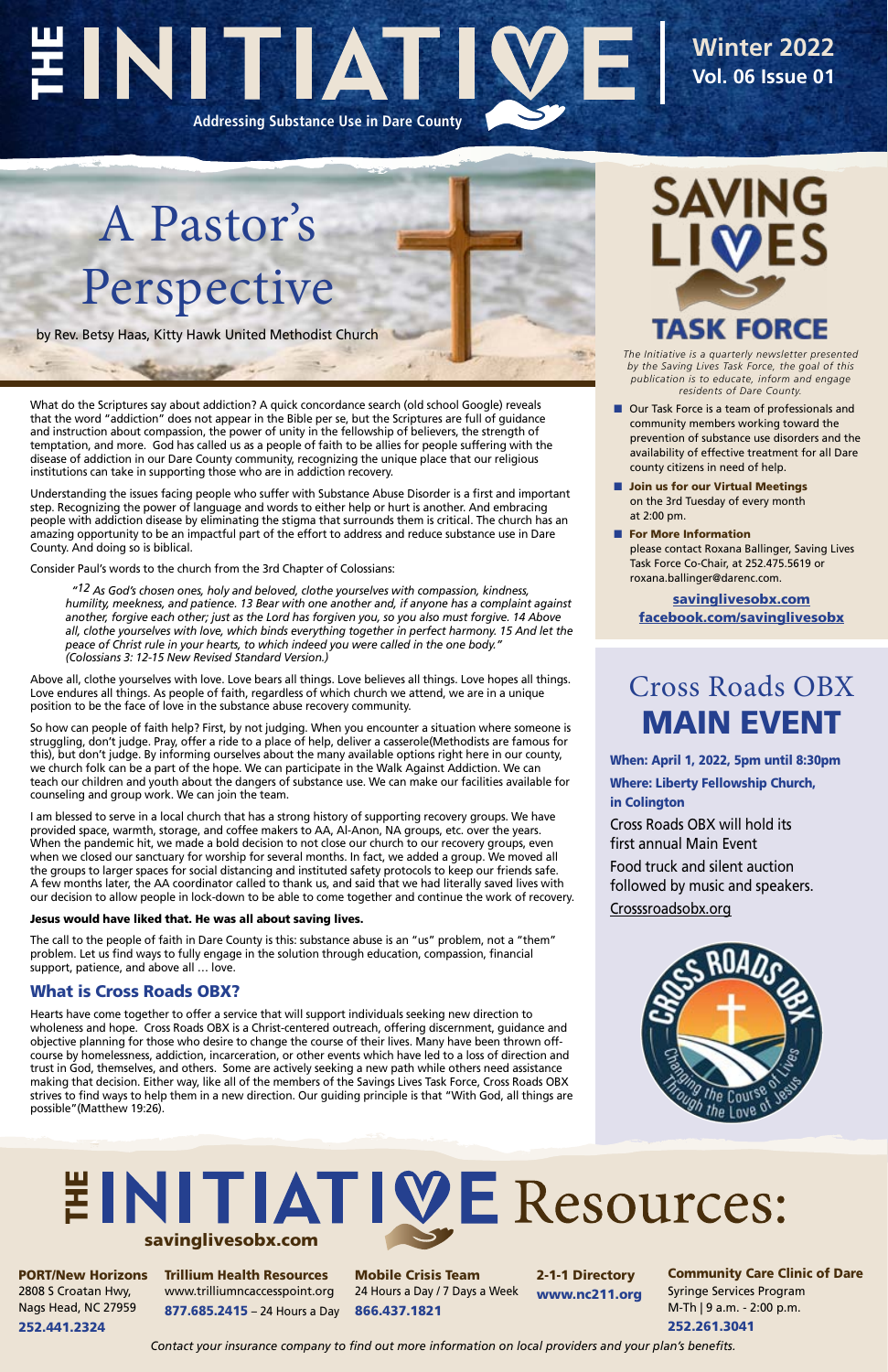*The Initiative is a quarterly newsletter presented by the Saving Lives Task Force, the goal of this publication is to educate, inform and engage residents of Dare County.*

- Our Task Force is a team of professionals and community members working toward the prevention of substance use disorders and the availability of effective treatment for all Dare county citizens in need of help.
- Join us for our Virtual Meetings on the 3rd Tuesday of every month at 2:00 pm.
- For More Information please contact Roxana Ballinger, Saving Lives Task Force Co-Chair, at 252.475.5619 or roxana.ballinger@darenc.com.

# EINITIATI **Addressing Substance Use in Dare County**

**Winter 2022 Vol. 06 Issue 01**

A Pastor's Perspective

by Rev. Betsy Haas, Kitty Hawk United Methodist Church

What do the Scriptures say about addiction? A quick concordance search (old school Google) reveals that the word "addiction" does not appear in the Bible per se, but the Scriptures are full of guidance and instruction about compassion, the power of unity in the fellowship of believers, the strength of temptation, and more. God has called us as a people of faith to be allies for people suffering with the disease of addiction in our Dare County community, recognizing the unique place that our religious institutions can take in supporting those who are in addiction recovery.

Understanding the issues facing people who suffer with Substance Abuse Disorder is a first and important step. Recognizing the power of language and words to either help or hurt is another. And embracing people with addiction disease by eliminating the stigma that surrounds them is critical. The church has an amazing opportunity to be an impactful part of the effort to address and reduce substance use in Dare County. And doing so is biblical.

Consider Paul's words to the church from the 3rd Chapter of Colossians:

 *"12 As God's chosen ones, holy and beloved, clothe yourselves with compassion, kindness, humility, meekness, and patience. 13 Bear with one another and, if anyone has a complaint against another, forgive each other; just as the Lord has forgiven you, so you also must forgive. 14 Above all, clothe yourselves with love, which binds everything together in perfect harmony. 15 And let the peace of Christ rule in your hearts, to which indeed you were called in the one body." (Colossians 3: 12-15 New Revised Standard Version.)*

Above all, clothe yourselves with love. Love bears all things. Love believes all things. Love hopes all things. Love endures all things. As people of faith, regardless of which church we attend, we are in a unique position to be the face of love in the substance abuse recovery community.

# **EINITIATIVE Resources:** savinglivesobx.com

So how can people of faith help? First, by not judging. When you encounter a situation where someone is struggling, don't judge. Pray, offer a ride to a place of help, deliver a casserole(Methodists are famous for this), but don't judge. By informing ourselves about the many available options right here in our county, we church folk can be a part of the hope. We can participate in the Walk Against Addiction. We can teach our children and youth about the dangers of substance use. We can make our facilities available for counseling and group work. We can join the team.

I am blessed to serve in a local church that has a strong history of supporting recovery groups. We have provided space, warmth, storage, and coffee makers to AA, Al-Anon, NA groups, etc. over the years. When the pandemic hit, we made a bold decision to not close our church to our recovery groups, even when we closed our sanctuary for worship for several months. In fact, we added a group. We moved all the groups to larger spaces for social distancing and instituted safety protocols to keep our friends safe. A few months later, the AA coordinator called to thank us, and said that we had literally saved lives with our decision to allow people in lock-down to be able to come together and continue the work of recovery.

#### Jesus would have liked that. He was all about saving lives.

The call to the people of faith in Dare County is this: substance abuse is an "us" problem, not a "them" problem. Let us find ways to fully engage in the solution through education, compassion, financial support, patience, and above all … love.

#### What is Cross Roads OBX?



Hearts have come together to offer a service that will support individuals seeking new direction to wholeness and hope. Cross Roads OBX is a Christ-centered outreach, offering discernment, guidance and objective planning for those who desire to change the course of their lives. Many have been thrown offcourse by homelessness, addiction, incarceration, or other events which have led to a loss of direction and trust in God, themselves, and others. Some are actively seeking a new path while others need assistance making that decision. Either way, like all of the members of the Savings Lives Task Force, Cross Roads OBX strives to find ways to help them in a new direction. Our guiding principle is that "With God, all things are possible"(Matthew 19:26).

PORT/New Horizons 2808 S Croatan Hwy, Nags Head, NC 27959 252.441.2324

Trillium Health Resources www.trilliumncaccesspoint.org 877.685.2415 – 24 Hours a Day

Mobile Crisis Team 24 Hours a Day / 7 Days a Week 866.437.1821

2-1-1 Directory www.nc211.org

Community Care Clinic of Dare Syringe Services Program M-Th | 9 a.m. - 2:00 p.m. 252.261.3041

*Contact your insurance company to find out more information on local providers and your plan's benefits.*

### Cross Roads OBX Main Event

When: April 1, 2022, 5pm until 8:30pm

Where: Liberty Fellowship Church, in Colington

Cross Roads OBX will hold its first annual Main Event

Food truck and silent auction followed by music and speakers.

<Crosssroadsobx.org>



[savinglivesobx.com](https://www.darenc.com/departments/health-human-services-/our-services/substance-abuse-services/saving-lives-task-force) [facebook.com/savinglivesobx](https://www.facebook.com/savinglivesobx)